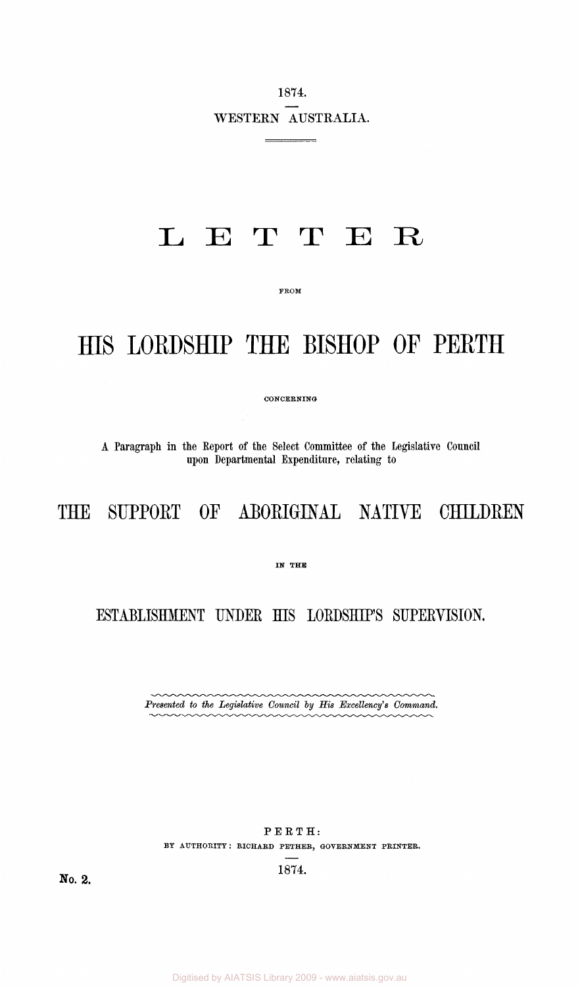1874. WESTERN AUSTRALIA.

 $\frac{1}{\sqrt{2\pi}}\left(\frac{1}{\sqrt{2\pi}}\right)^{2}\left(\frac{1}{\sqrt{2\pi}}\right)^{2}\left(\frac{1}{\sqrt{2\pi}}\right)^{2}\left(\frac{1}{\sqrt{2\pi}}\right)^{2}\left(\frac{1}{\sqrt{2\pi}}\right)^{2}\left(\frac{1}{\sqrt{2\pi}}\right)^{2}\left(\frac{1}{\sqrt{2\pi}}\right)^{2}\left(\frac{1}{\sqrt{2\pi}}\right)^{2}\left(\frac{1}{\sqrt{2\pi}}\right)^{2}\left(\frac{1}{\sqrt{2\pi}}\right)^{2}\left(\frac{1}{\sqrt{2\pi}}\right)^{$ 

## LETTE R

FROM

## HIS LORDSHIP THE BISHOP OF PERTH

CONCERNING

A Paragraph in the Report of the Select Committee of the legislative Council upon Departmental Expenditure, relating to

## THE SUPPORT OF ABORIGINAL NATIVE CHILDREN

IN THE

ESTABLISHMENT UNDER HIS LORDSHIP'S SUPERVISION.

Presented to the Legislative Council by His Excellency's Command.

PERTH: BY AUTHORITY: RICHARD PETHER, GOVERNMENT PRINTER.

1874.

No. 2.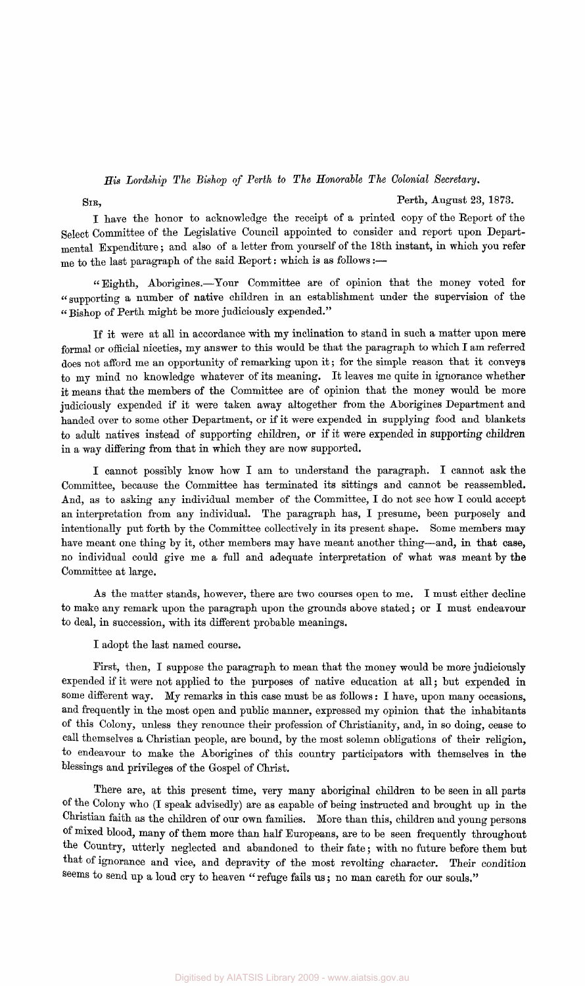## *His Lordship The Bishop of Perth to The Honorable The Colonial Secretary.*

**SIR,** Perth, August 23, 1873.

I hare the honor to acknowledge the receipt of a printed copy of the Report of the Select Committee of the Legislative Council appointed to consider and report upon Departmental Expenditure; and also of a letter from yourself of the 18th instant, in which you refer me to the last paragraph of the said Report: which is as follows:—

"Eighth, Aborigines.—Tour Committee are of opinion that the money voted for "supporting a number of native children in an establishment under the supervision of the " Bishop of Perth might be more judiciously expended."

If it were at all in accordance with my inclination to stand in such a matter upon mere formal or official niceties, my answer to this would be that the paragraph to which I am referred does not afford me an opportunity of remarking upon it; for the simple reason that it conveys to my mind no knowledge whatever of its meaning. It leaves me quite in ignorance whether it means that the members of the Committee are of opinion that the money would be more judiciously expended if it were taken away altogether from the Aborigines Department and handed over to some other Department, or if it were expended in supplying food and blankets to adult natives instead of supporting children, or if it were expended in Supporting children in a way differing from that in which they are now supported.

I cannot possibly know how I am to understand the paragraph. I cannot ask the Committee, because the Committee has terminated its sittings and cannot be reassembled. And, as to asking any individual member of the Committee, I do not see how I could accept an interpretation from any individual. The paragraph has, I presume, been purposely and intentionally put forth by the Committee collectively in its present shape. Some members may have meant one thing by it, other members may have meant another thing—and, in that case, no individual could give me a full and adequate interpretation of what was meant by the Committee at large.

As the matter stands, however, there are two courses open to me. I must either decline to make any remark upon the paragraph upon the grounds above stated; or I must endeavour to deal, in succession, with its different probable meanings.

I adopt the last named course.

First, then, I suppose the paragraph to mean that the money would be more judiciously expended if it were not applied to the purposes of native education at all; but expended in some different way. My remarks in this case must be as follows: I have, upon many occasions, and frequently in the most open and public manner, expressed my opinion that the inhabitants of this Colony, unless they renounce their profession of Christianity, and, in so doing, cease to call themselves a Christian people, are bound, by the most solemn obligations of their religion, to endeavour to make the Aborigines of this country participators with themselves in the blessings and privileges of the Gospel of Christ.

There are, at this present time, very many aboriginal children to be seen in all parts of the Colony who (I speak advisedly) are as capable of being instructed and brought up in the Christian faith as the children of our own families. More than this, children and young persons of mixed blood, many of them more than half Europeans, are to be seen frequently throughout the Country, utterly neglected and abandoned to their fate; with no future before them but that of ignorance and vice, and depravity of the most revolting character. Their condition seems to send up a loud cry to heaven "refuge fails us; no man careth for our souls."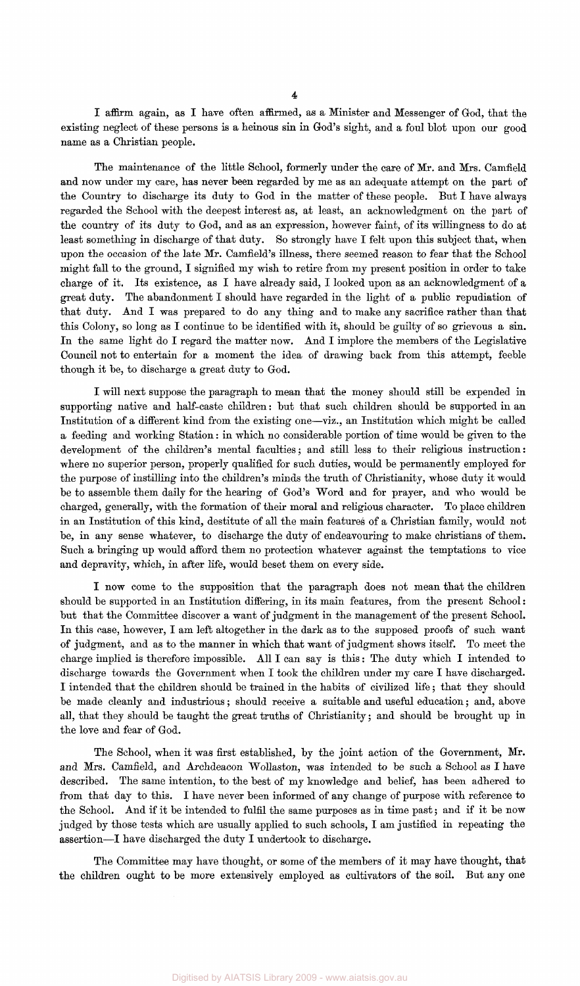I affirm again, as I have often affirmed, as a Minister and Messenger of God, that the existing neglect of these persons is a heinous sin in God's sight, and a foul blot upon our good name as a Christian people.

The maintenance of the little School, formerly under the care of Mr. and Mrs. Camfield and now under my care, has never been regarded by me as an adequate attempt on the part of the Country to discharge its duty to God in the matter of these people. But I have always regarded the School with the deepest interest as, at least, an acknowledgment on the part of the country of its duty to God, and as an expression, however faint, of its willingness to do at least something in discharge of that duty. So strongly have I felt upon this subject that, when upon the occasion of the late Mr. Camfield's illness, there seemed reason to fear that the School might fall to the ground, I signified my wish to retire from my present position in order to take charge of it. Its existence, as I have already said, I looked upon as an acknowledgment of a great duty. The abandonment I should have regarded in the light of a public repudiation of that duty. And I was prepared to do any thing and to make any sacrifice rather than that this Colony, so long as I continue to be identified with it, should be guilty of so grievous a sin. In the same light do I regard the matter now. And I implore the members of the Legislative Council not to entertain for a moment the idea of drawing back from this attempt, feeble though it be, to discharge a great duty to God.

I will next suppose the paragraph to mean that the money should still be expended in supporting native and half-caste children: but that such children should be supported in an Institution of a different kind from the existing one—viz., an Institution which might be called a feeding and working Station: in which no considerable portion of time would be given to the development of the children's mental faculties; and still less to their religious instruction: where no superior person, properly qualified for such duties, would be permanently employed for the purpose of instilling into the children's minds the truth of Christianity, whose duty it would be to assemble them daily for the hearing of God's Word and for prayer, and who would be charged, generally, with the formation of their moral and religious character. To place children in an Institution of this kind, destitute of all the main features of a Christian family, would not be, in any sense whatever, to discharge the duty of endeavouring to make christians of them. Such a bringing up would afford them no protection whatever against the temptations to vice and depravity, which, in after life, would beset them on every side.

I now come to the supposition that the paragraph does not mean that the children should be supported in an Institution differing, in its main features, from the present School: but that the Committee discover a want of judgment in the management of the present School. In this case, however, I am left altogether in the dark as to the supposed proofs of such want of judgment, and as to the manner in which that want of judgment shows itself. To meet the charge implied is therefore impossible. All I can say is this: The duty which I intended to discharge towards the Government when I took the children under my care I have discharged. I intended that the children should be trained in the habits of civilized life; that they should be made cleanly and industrious; should receive a suitable and useful education; and, above all, that they should be taught the great truths of Christianity; and should be brought up in the love and fear of God.

The School, when it was first established, by the joint action of the Government, Mr. and Mrs. Camfield, and Archdeacon Wollaston, was intended to be such a School as I have described. The same intention, to the best of my knowledge and belief, has been adhered to from that day to this. I have never been informed of any change of purpose with reference to the School. And if it be intended to fulfil the same purposes as in time past; and if it be now judged by those tests which are usually applied to such schools, I am justified in repeating the assertion—I have discharged the duty I undertook to discharge.

The Committee may have thought, or some of the members of it may have thought, that the children ought to be more extensively employed as cultivators of the soil. But any one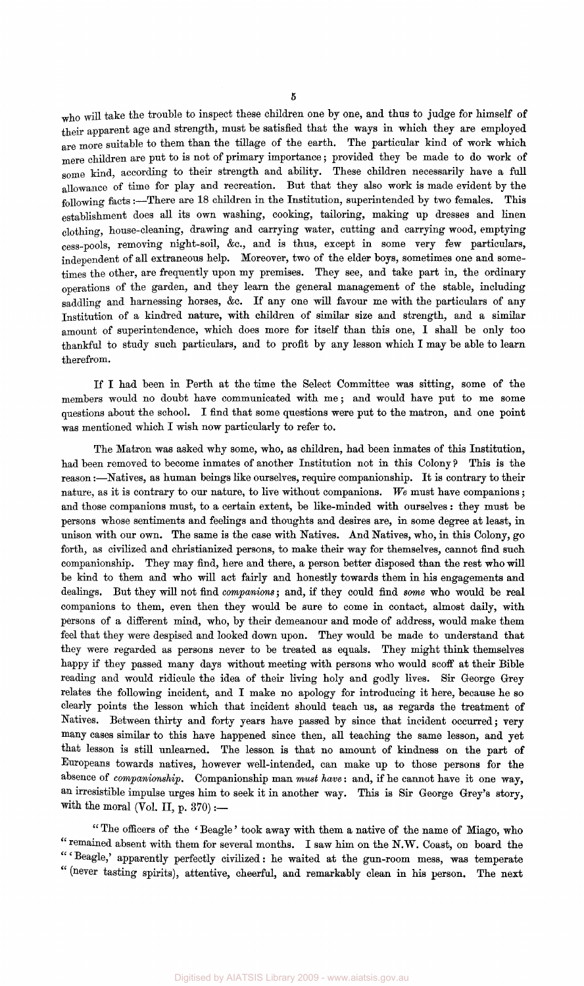<sup>w</sup>ho will take the trouble to inspect these children one by one, and thus to judge for himself of their apparent age and strength, must be satisfied that the ways in which they are employed are more suitable to them than the tillage of the earth. The particular kind of work which mere children are put to is not of primary importance; provided they be made to do work of some kind, according to their strength and ability. These children necessarily have a full allowance of time for play and recreation. But that they also work is made evident by the following facts:—There are 18 children in the Institution, superintended by two females. This establishment does all its own washing, cooking, tailoring, making up dresses and linen clothing, house-cleaning, drawing and carrying water, cutting and carrying wood, emptying cess\_pools, removing night-soil, &c, and is thus, except in some very few particulars, independent of all extraneous help. Moreover, two of the elder boys, sometimes one and sometimes the other, are frequently upon my premises. They see, and take part in, the ordinary operations of the garden, and they learn the general management of the stable, including saddling and harnessing horses, &c. If any one will favour me with the particulars of any Institution of a kindred nature, with children of similar size and strength, and a similar amount of superintendence, which does more for itself than this one, I shall be only too thankful to study such particulars, and to profit by any lesson which I may be able to learn therefrom.

If I had been in Perth at the time the Select Committee was sitting, some of the members would no doubt have communicated with me ; and would have put to me some questions about the school. I find that some questions were put to the matron, and one point was mentioned which I wish now particularly to refer to.

The Matron was asked why some, who, as children, had been inmates of this Institution, had been removed to become inmates of another Institution not in this Colony ? This is the reason:—Natives, as human beings like ourselves, require companionship. It is contrary to their nature, as it is contrary to our nature, to live without companions. *We* must have companions; and those companions must, to a certain extent, be like-minded with ourselves : they must be persons whose sentiments and feelings and thoughts and desires are, in some degree at least, in unison with our own. The same is the case with Natives. And Natives, who, in this Colony, go forth, as civilized and christianized persons, to make their way for themselves, cannot find such companionship. They may find, here and there, a person better disposed than the rest who will be kind to them and who will act fairly and honestly towards them in his engagements and dealings. But they will not find *companions;* and, if they could find *some* who would be real companions to them, even then they would be sure to come in contact, almost daily, with persons of a different mind, who, by their demeanour and mode of address, would make them feel that they were despised and looked down upon. They would be made to understand that they were regarded as persons never to be treated as equals. They might think themselves happy if they passed many days without meeting with persons who would scoff at their Bible reading and would ridicule the idea of their living holy and godly lives. Sir George Grey relates the following incident, and I make no apology for introducing it here, because he so clearly points the lesson which that incident should teach us, as regards the treatment of Natives. Between thirty and forty years have passed by since that incident occurred; very many cases similar to this have happened since then, all teaching the same lesson, and yet that lesson is still unlearned. The lesson is that no amount of kindness on the part of Europeans towards natives, however well-intended, can make up to those persons for the absence of *companionship.* Companionship man *must have*: and, if he cannot have it one way, an irresistible impulse urges him to seek it in another way. This is Sir George Grey's story, with the moral (Vol. II,  $p. 370$ ) :-

" The officers of the ' Beagle' took away with them a native of the name of Miago, who " remained absent with them for several months. I saw him on the N.W. Coast, on board the Beagle,' apparently perfectly civilized: he waited at the gun-room mess, was temperate (never tasting spirits), attentive, cheerful, and remarkably clean in his person. The next